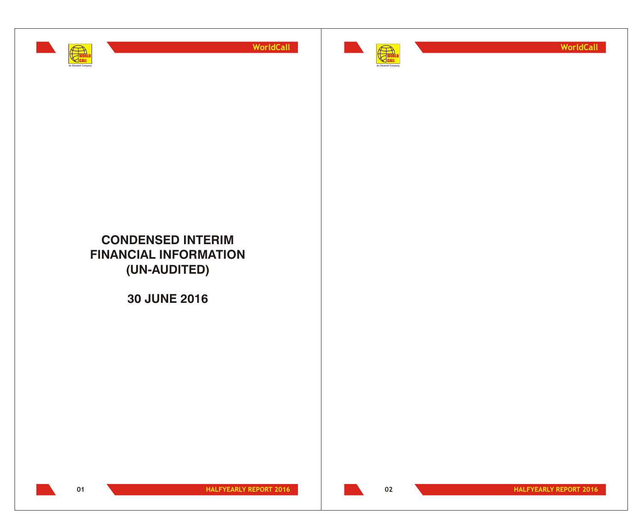



**WorldCall**

## **CONDENSED INTERIM FINANCIAL INFORMATION (UN-AUDITED)**

**30 JUNE 2016**



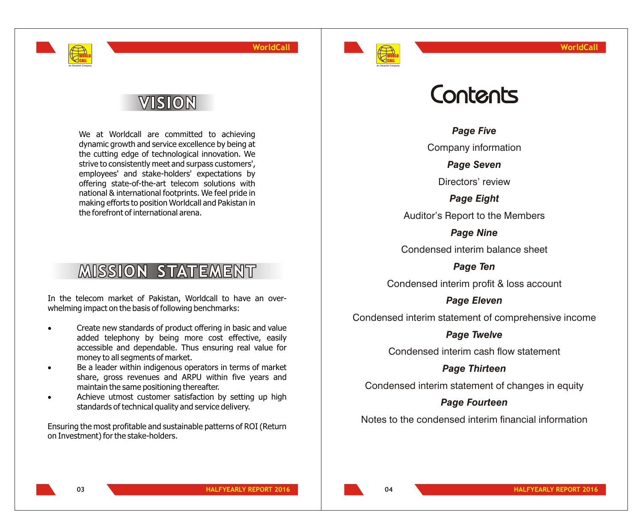

# VISION

WORLD CALL **An Omantel Company**

> We at Worldcall are committed to achieving dynamic growth and service excellence by being at the cutting edge of technological innovation. We strive to consistently meet and surpass customers', employees' and stake-holders' expectations by offering state-of-the-art telecom solutions with national & international footprints. We feel pride in making efforts to position Worldcall and Pakistan in the forefront of international arena.

# **MISSION STATEMENT**

In the telecom market of Pakistan, Worldcall to have an overwhelming impact on the basis of following benchmarks:

> Create new standards of product offering in basic and value added telephony by being more cost effective, easily accessible and dependable. Thus ensuring real value for money to all segments of market.

> Be a leader within indigenous operators in terms of market share, gross revenues and ARPU within five years and maintain the same positioning thereafter.

> Achieve utmost customer satisfaction by setting up high standards of technical quality and service delivery.

Ensuring the most profitable and sustainable patterns of ROI (Return on Investment) for the stake-holders.

# Contents

*Page Five*

Company information

*Page Seven*

Directors' review

*Page Eight*

Auditor's Report to the Members

*Page Nine* Condensed interim balance sheet

*Page Ten*

Condensed interim profit & loss account

*Page Eleven*

Condensed interim statement of comprehensive income

### *Page Twelve*

Condensed interim cash flow statement

### *Page Thirteen*

Condensed interim statement of changes in equity

### *Page Fourteen*

Notes to the condensed interim financial information

**04**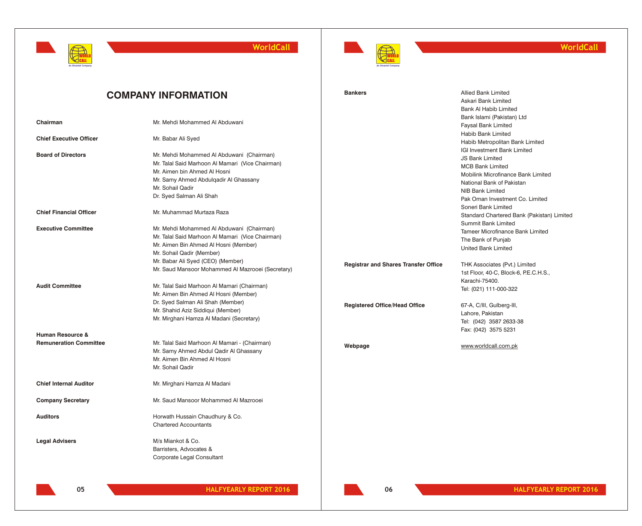



### **WorldCall**

|                                | <b>COMPANY INFORMATION</b>                        | <b>Bankers</b>                              | <b>Allied Bank Limited</b><br>Askari Bank Limited<br><b>Bank Al Habib Limited</b> |
|--------------------------------|---------------------------------------------------|---------------------------------------------|-----------------------------------------------------------------------------------|
| Chairman                       | Mr. Mehdi Mohammed Al Abduwani                    |                                             | Bank Islami (Pakistan) Ltd<br><b>Faysal Bank Limited</b>                          |
| <b>Chief Executive Officer</b> | Mr. Babar Ali Syed                                |                                             | Habib Bank Limited<br>Habib Metropolitan Bank Limited                             |
| <b>Board of Directors</b>      | Mr. Mehdi Mohammed Al Abduwani (Chairman)         |                                             | IGI Investment Bank Limited<br><b>JS Bank Limited</b>                             |
|                                | Mr. Talal Said Marhoon Al Mamari (Vice Chairman)  |                                             | <b>MCB Bank Limited</b>                                                           |
|                                | Mr. Aimen bin Ahmed Al Hosni                      |                                             | Mobilink Microfinance Bank Limited                                                |
|                                | Mr. Samy Ahmed Abdulgadir Al Ghassany             |                                             | National Bank of Pakistan                                                         |
|                                | Mr. Sohail Qadir                                  |                                             | NIB Bank Limited                                                                  |
|                                | Dr. Syed Salman Ali Shah                          |                                             | Pak Oman Investment Co. Limited<br>Soneri Bank Limited                            |
| <b>Chief Financial Officer</b> | Mr. Muhammad Murtaza Raza                         |                                             | Standard Chartered Bank (Pakistan) Limited<br><b>Summit Bank Limited</b>          |
| <b>Executive Committee</b>     | Mr. Mehdi Mohammed Al Abduwani (Chairman)         |                                             | Tameer Microfinance Bank Limited                                                  |
|                                | Mr. Talal Said Marhoon Al Mamari (Vice Chairman)  |                                             | The Bank of Punjab                                                                |
|                                | Mr. Aimen Bin Ahmed Al Hosni (Member)             |                                             | United Bank Limited                                                               |
|                                | Mr. Sohail Qadir (Member)                         |                                             |                                                                                   |
|                                | Mr. Babar Ali Syed (CEO) (Member)                 | <b>Registrar and Shares Transfer Office</b> | THK Associates (Pvt.) Limited                                                     |
|                                | Mr. Saud Mansoor Mohammed Al Mazrooei (Secretary) |                                             | 1st Floor, 40-C, Block-6, P.E.C.H.S.,                                             |
|                                |                                                   |                                             | Karachi-75400.                                                                    |
| <b>Audit Committee</b>         | Mr. Talal Said Marhoon Al Mamari (Chairman)       |                                             | Tel: (021) 111-000-322                                                            |
|                                | Mr. Aimen Bin Ahmed Al Hosni (Member)             |                                             |                                                                                   |
|                                | Dr. Syed Salman Ali Shah (Member)                 | <b>Registered Office/Head Office</b>        | 67-A, C/III, Gulberg-III,                                                         |
|                                | Mr. Shahid Aziz Siddiqui (Member)                 |                                             | Lahore, Pakistan                                                                  |
|                                | Mr. Mirghani Hamza Al Madani (Secretary)          |                                             | Tel: (042) 3587 2633-38                                                           |
|                                |                                                   |                                             | Fax: (042) 3575 5231                                                              |
| <b>Human Resource &amp;</b>    |                                                   |                                             |                                                                                   |
| <b>Remuneration Committee</b>  | Mr. Talal Said Marhoon Al Mamari - (Chairman)     | Webpage                                     | www.worldcall.com.pk                                                              |
|                                | Mr. Samy Ahmed Abdul Qadir Al Ghassany            |                                             |                                                                                   |
|                                | Mr. Aimen Bin Ahmed Al Hosni                      |                                             |                                                                                   |
|                                | Mr. Sohail Qadir                                  |                                             |                                                                                   |
| <b>Chief Internal Auditor</b>  | Mr. Mirghani Hamza Al Madani                      |                                             |                                                                                   |
| <b>Company Secretary</b>       | Mr. Saud Mansoor Mohammed Al Mazrooei             |                                             |                                                                                   |
| <b>Auditors</b>                | Horwath Hussain Chaudhury & Co.                   |                                             |                                                                                   |
|                                | <b>Chartered Accountants</b>                      |                                             |                                                                                   |
|                                |                                                   |                                             |                                                                                   |
| <b>Legal Advisers</b>          | M/s Miankot & Co.                                 |                                             |                                                                                   |
|                                | Barristers, Advocates &                           |                                             |                                                                                   |
|                                | Corporate Legal Consultant                        |                                             |                                                                                   |
|                                |                                                   |                                             |                                                                                   |

**06**

**05 HALFYEARLY REPORT 2016 HALFYEARLY REPORT 2016**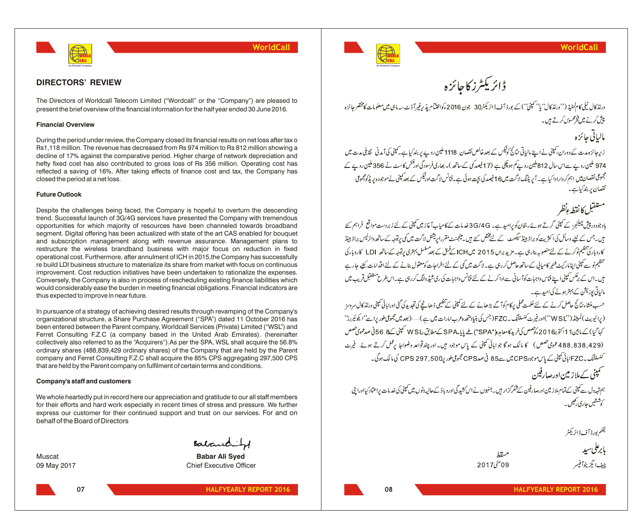

**Financial Overview**

**Future Outlook**

**DIRECTORS' REVIEW**

closed the period at a net loss.

thus expected to improve in near future.

The Directors of Worldcall Telecom Limited ("Wordcall" or the "Company") are pleased to present the brief overview of the financial information for the half year ended 30 June 2016.

During the period under review, the Company closed its financial results on net loss after tax o Rs1,118 million. The revenue has decreased from Rs 974 million to Rs 812 million showing a decline of 17% against the comparative period. Higher charge of network depreciation and hefty fixed cost has also contributed to gross loss of Rs 356 million. Operating cost has reflected a saving of 16%. After taking effects of finance cost and tax, the Company has

Despite the challenges being faced, the Company is hopeful to overturn the descending trend. Successful launch of 3G/4G services have presented the Company with tremendous opportunities for which majority of resources have been channeled towards broadband segment. Digital offering has been actualized with state of the art CAS enabled for bouquet and subscription management along with revenue assurance. Management plans to restructure the wireless brandband business with major focus on reduction in fixed operational cost. Furthermore, after annulment of ICH in 2015,the Company has successfully re build LDI business structure to materialize its share from market with focus on continuous improvement. Cost reduction initiatives have been undertaken to rationalize the expenses. Conversely, the Company is also in process of rescheduling existing finance liabilities which would considerably ease the burden in meeting financial obligations. Financial indicators are

In pursuance of a strategy of achieving desired results through revamping of the Company's organizational structure, a Share Purchase Agreement ("SPA") dated 11 October 2016 has been entered between the Parent company, Worldcall Services (Private) Limited ("WSL") and Ferret Consulting F.Z.C (a company based in the United Arab Emirates). (hereinafter collectively also referred to as the "Acquirers").As per the SPA, WSL shall acquire the 56.8% ordinary shares (488,839,429 ordinary shares) of the Company that are held by the Parent company and Ferret Consulting F.Z.C shall acquire the 85% CPS aggregating 297,500 CPS

We whole heartedly put in record here our appreciation and gratitude to our all staff members for their efforts and hard work especially in recent times of stress and pressure. We further express our customer for their continued support and trust on our services. For and on

that are held by the Parent company on fulfilment of certain terms and conditions.

**WorldCall**

#### WORLD CALL **An Omantel Company**

ڈائریکٹرز کاجائزہ

ورلڈ کال ٹیلی کام کمنیڈ (''ورلڈ کال' یا'' کمپنی'') کے بورڈ آف ڈائریکٹر30 جون 2016ءکواختیام یذیر ٹیورآڈٹ سہ ماہی میں معلومات کامختصر جائزہ پیش کرنے میں فخرمحسوں کرتے ہیں۔

# مالياتي جائزه

زیر جائزہ مدت کے دوران کمپنی نے اپنے ہالیاتی نتائج کوٹیکس کے بعد خالص نقصان 1118 ملین روپے پر بند کیا ہے۔کمپنی کی آمدنی تقابلی مدت میں 974 ملین روپے سےاس سال 812ملین روپے ہوچکی ہے (17فیصد کی کے ساتھ )۔ بھاری فرسودگی او فتحر کاسٹ نے 356 ملین روپے کے مجمومی نقصان میں اہم کردارادا کیاہے۔ آپریٹنگ لاگت میں 16فیصد کی بچت ہوئی ہے۔فنانس لاگت اورٹیکس کے بعد کمپنی نے موجود ہ پریڈکومجموعی نقصان بربندکیاہے۔

مستفيل كانقط ءنظر

،<br>مادجود در پیش چیلنجز کے کمپنی گرتے ہوئے رجحان کو پرامید ہے۔ 3G/4G خدمات کے کامیابآغاز میں کمپنی کے لئے زبر دست مواقع فراہم کئے ہیں۔جس کے لئیے وسائل کیا اکثریت کو براڈ ببیڈسیگھنٹ کے لیے *پختی سے ہیں۔ مینجنٹ مقرر*اپریشنل لاگت میں کمی پرتوجہ کےساتھ وائرلیس براڈ ببیڈ کاروبار کی تنظیم نوکرنے کے لئے منصوبہ بنارہی ہے۔ مزید براں 2015 میں ICHکےفیق کے بعد مسلسل بہتری برتوجہ کے ساتھ LDI کاروبار کی ۔<br>تنظیم نو سے یمپنی اپنامار کیٹ شئیر کامیابی کے ساتھ حاصل کررہی ہے۔ لاگت میں کی کے لئے اخراجات کومعقول بنانے کے لئے اقدامات کئیے حار ہے ہیں۔اس کے برعکس کمپنی اپنے فناس واجبات کوآ سانی سے ادا کرنے کے لئے فنانس واجبات کی ری شیڈ ولنگ کررہی ہے۔اس طرح مستقبل قریب میں مالیاتی یوزیشن کے بہتر ہونے کی امید ہے۔

حسب منشاء نتائج حاصل کرنے کے لئے حکمت عملی پرکام کوآ گے بڑھانے کے لئے کمپنی کے تنظیمی ڈھانچے کی تجدیدکی گئی اوراپائی کمپنی ورلڈ کال سروسز (پرائیویٹ)لمیٹڈ(''W SL'')اور فیرٹ کنسلٹنگ ۔FZC(جس کی بنیاد پتھ دعربامارات میں ہے)......(بعد میں مجموعی طور پراسے''ایکوئیررز'' کہا گیا) کے مابین11 اکتوب2016 ک<sup>و</sup>تھص کی *فرید کا*معام<sub>ل</sub>و("SPA") طے پایا۔SPA کےمطابق یا W S کمپنی کے .56 فی صدعمو*ی تھ*ص (429,838,838 ممومی *تھس*) کا مالک ہو گا جو اپائی کمپنی کے پاس موجود ہیں۔اور چند تواعد وضوابط پر عمل کرتے ہوئے ۔فیرٹ کنسلٹنگ ۔FZC امائی کمپنی کے پاس موجود CPS میں سے85 فی صدCPS مجموعی طور ر600, CPS 297 کی مالک ہوگی۔

هميني کےملاز مین اورصارفین

ہم تہددل سے یمپنی کے تمام ملاز مین اورصارفین کے شکرگز ار ہیں۔جنہوں نے اس کشید گی اور دیاؤ کے حالیہ دنوں میں کمپنی کی خدمات پراعتماد کیااورا بنی کوششیں جاری رکھیں ۔

بحكم بور ڈ آ ف<sup>ی</sup> ڈ ائریکٹر

| بابرعلى سيد        |
|--------------------|
| چيف انگِزيٹوا فيسر |

ميقظ

09 مُحَ 2017



09 May 2017 Chief Executive Officer

**07**

**Company's staff and customers**

behalf of the Board of Directors

**HALFYEARLY REPORT 2016 HALFYEARLY REPORT 2016**

**08**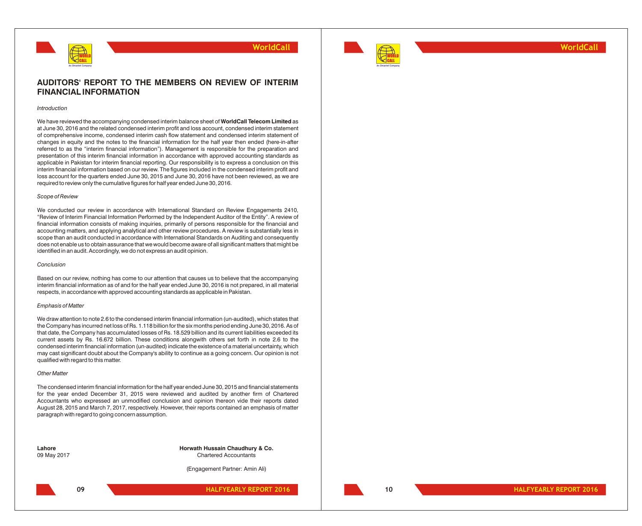



**WorldCall**

### **AUDITORS' REPORT TO THE MEMBERS ON REVIEW OF INTERIM FINANCIAL INFORMATION**

#### *Introduction*

We have reviewed the accompanying condensed interim balance sheet of **WorldCall Telecom Limited** as at June 30, 2016 and the related condensed interim profit and loss account, condensed interim statement of comprehensive income, condensed interim cash flow statement and condensed interim statement of changes in equity and the notes to the financial information for the half year then ended (here-in-after referred to as the "interim financial information"). Management is responsible for the preparation and presentation of this interim financial information in accordance with approved accounting standards as applicable in Pakistan for interim financial reporting. Our responsibility is to express a conclusion on this interim financial information based on our review. The figures included in the condensed interim profit and loss account for the quarters ended June 30, 2015 and June 30, 2016 have not been reviewed, as we are required to review only the cumulative figures for half year ended June 30, 2016.

#### *Scope of Review*

We conducted our review in accordance with International Standard on Review Engagements 2410. "Review of Interim Financial Information Performed by the Independent Auditor of the Entity". A review of financial information consists of making inquiries, primarily of persons responsible for the financial and accounting matters, and applying analytical and other review procedures. A review is substantially less in scope than an audit conducted in accordance with International Standards on Auditing and consequently does not enable us to obtain assurance that we would become aware of all significant matters that might be identified in an audit. Accordingly, we do not express an audit opinion.

#### *Conclusion*

Based on our review, nothing has come to our attention that causes us to believe that the accompanying interim financial information as of and for the half year ended June 30, 2016 is not prepared, in all material respects, in accordance with approved accounting standards as applicable in Pakistan.

#### *Emphasis of Matter*

We draw attention to note 2.6 to the condensed interim financial information (un-audited), which states that the Company has incurred net loss of Rs. 1.118 billion for the six months period ending June 30, 2016. As of that date, the Company has accumulated losses of Rs. 18.529 billion and its current liabilities exceeded its current assets by Rs. 16.672 billion. These conditions alongwith others set forth in note 2.6 to the condensed interim financial information (un-audited) indicate the existence of a material uncertainty, which may cast significant doubt about the Company's ability to continue as a going concern. Our opinion is not qualified with regard to this matter.

#### *Other Matter*

The condensed interim financial information for the half year ended June 30, 2015 and financial statements for the year ended December 31, 2015 were reviewed and audited by another firm of Chartered Accountants who expressed an unmodified conclusion and opinion thereon vide their reports dated August 28, 2015 and March 7, 2017, respectively. However, their reports contained an emphasis of matter paragraph with regard to going concern assumption.

**Lahore Horwath Hussain Chaudhury & Co.** 09 May 2017 Chartered Accountants

(Engagement Partner: Amin Ali)



**HALFYEARLY REPORT 2016 HALFYEARLY REPORT 2016 09 10**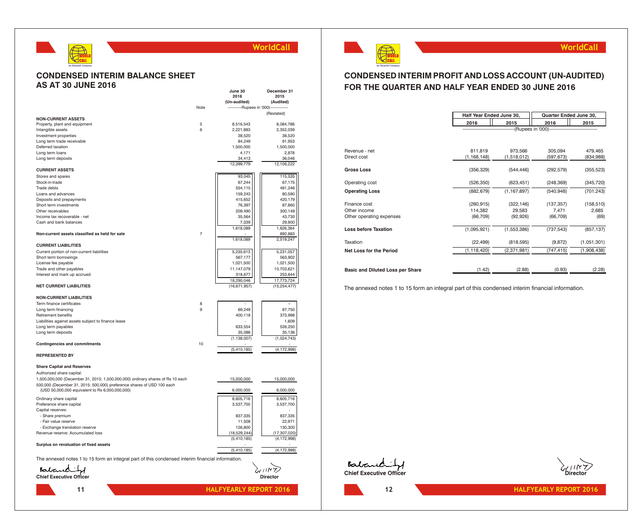

### **CONDENSED INTERIM BALANCE SHEET AS AT 30 JUNE 2016**

|                                                                                                  |                | June 30<br>2016                 | December 31<br>2015  |                             |
|--------------------------------------------------------------------------------------------------|----------------|---------------------------------|----------------------|-----------------------------|
|                                                                                                  |                | (Un-audited)                    | (Audited)            |                             |
|                                                                                                  | Note           | -------------Rupees in '000)--- | -------              |                             |
|                                                                                                  |                |                                 | (Restated)           |                             |
| <b>NON-CURRENT ASSETS</b>                                                                        |                |                                 |                      |                             |
| Property, plant and equipment                                                                    | $\overline{5}$ | 8,516,543                       | 8,084,786            |                             |
| Intangible assets                                                                                | 6              | 2,221,883                       | 2,352,039            |                             |
| Investment properties<br>Long term trade receivable                                              |                | 38,520<br>84,249                | 38,520<br>91,953     |                             |
| Deferred taxation                                                                                |                | 1,500,000                       | 1,500,000            |                             |
| Long term loans                                                                                  |                | 4,171                           | 2,878                | Revenue - net               |
| Long term deposits                                                                               |                | 34,413                          | 36,046               | Direct cost                 |
|                                                                                                  |                | 12,399,779                      | 12,106,222           |                             |
| <b>CURRENT ASSETS</b>                                                                            |                |                                 |                      | <b>Gross Loss</b>           |
| Stores and spares                                                                                |                | 93,045                          | 115,535              |                             |
| Stock-in-trade                                                                                   |                | 67,244                          | 67.175               | Operating cost              |
| Trade debts                                                                                      |                | 554,115                         | 481,246              | <b>Operating Loss</b>       |
| Loans and advances<br>Deposits and prepayments                                                   |                | 159,243<br>415,652              | 80,590<br>420,179    |                             |
| Short term investments                                                                           |                | 76,397                          | 87,860               | Finance cost                |
| Other receivables                                                                                |                | 209,490                         | 300,149              | Other income                |
| Income tax recoverable - net                                                                     |                | 35,564                          | 43,730               | Other operating exper       |
| Cash and bank balances                                                                           |                | 7,339                           | 29,900               |                             |
|                                                                                                  |                | 1,618,089                       | 1,626,364            | <b>Loss before Taxation</b> |
| Non-current assets classified as held for sale                                                   | $\overline{7}$ |                                 | 892,883              |                             |
|                                                                                                  |                | 1,618,089                       | 2,519,247            | Taxation                    |
| <b>CURRENT LIABILITIES</b>                                                                       |                |                                 |                      | Net Loss for the Peri       |
| Current portion of non-current liabilities<br>Short term borrowings                              |                | 5,235,613<br>567,177            | 5,231,057<br>563,902 |                             |
| License fee payable                                                                              |                | 1,021,500                       | 1,021,500            |                             |
| Trade and other payables                                                                         |                | 11,147,079                      | 10,703,621           | <b>Basic and Diluted Lo</b> |
| Interest and mark up accrued                                                                     |                | 318,677                         | 253,644              |                             |
|                                                                                                  |                | 18,290,046                      | 17,773,724           |                             |
| <b>NET CURRENT LIABILITIES</b>                                                                   |                | (16,671,957)                    | (15, 254, 477)       | The annexed notes           |
|                                                                                                  |                |                                 |                      |                             |
| <b>NON-CURRENT LIABILITIES</b>                                                                   |                |                                 |                      |                             |
| Term finance certificates                                                                        | 8              |                                 |                      |                             |
| Long term financing<br>Retirement benefits                                                       | 9              | 69,249<br>400,118               | 87,750<br>373,998    |                             |
| Liabilities against assets subject to finance lease                                              |                |                                 | 1,609                |                             |
| Long term payables                                                                               |                | 633,554                         | 526,250              |                             |
| Long term deposits                                                                               |                | 35,086                          | 35,136               |                             |
|                                                                                                  |                | (1, 138, 007)                   | (1,024,743)          |                             |
| <b>Contingencies and commitments</b>                                                             | 10             |                                 |                      |                             |
|                                                                                                  |                | (5,410,185)                     | (4, 172, 998)        |                             |
| <b>REPRESENTED BY</b>                                                                            |                |                                 |                      |                             |
| <b>Share Capital and Reserves</b>                                                                |                |                                 |                      |                             |
| Authorized share capital:                                                                        |                |                                 |                      |                             |
| 1,500,000,000 (December 31, 2015: 1,500,000,000) ordinary shares of Rs 10 each                   |                | 15,000,000                      | 15,000,000           |                             |
| 500,000 (December 31, 2015: 500,000) preference shares of USD 100 each                           |                |                                 |                      |                             |
| (USD 50,000,000 equivalent to Rs 6,000,000,000)                                                  |                | 6,000,000                       | 6,000,000            |                             |
| Ordinary share capital                                                                           |                | 8,605,716                       | 8,605,716            |                             |
| Preference share capital                                                                         |                | 3,537,700                       | 3,537,700            |                             |
| Capital reserves:                                                                                |                |                                 |                      |                             |
| - Share premium                                                                                  |                | 837,335                         | 837,335              |                             |
| - Fair value reserve                                                                             |                | 11,508                          | 22,971               |                             |
| - Exchange translation reserve                                                                   |                | 126,800                         | 130,300              |                             |
| Revenue reserve: Accumulated loss                                                                |                | (18,529,244)                    | (17, 307, 020)       |                             |
| Surplus on revaluation of fixed assets                                                           |                | (5,410,185)                     | (4, 172, 998)        |                             |
|                                                                                                  |                | (5,410,185)                     | (4.172,998)          |                             |
|                                                                                                  |                |                                 |                      |                             |
| The annexed notes 1 to 15 form an integral part of this condensed interim financial information. |                |                                 |                      | Batan                       |
|                                                                                                  |                |                                 |                      |                             |
| Balandiff                                                                                        |                |                                 |                      | <b>Chief Executive O</b>    |
|                                                                                                  |                |                                 | <b>Director</b>      |                             |
| 11                                                                                               |                | <b>HALFYEARLY REPORT 2016</b>   |                      | 12                          |
|                                                                                                  |                |                                 |                      |                             |
|                                                                                                  |                |                                 |                      |                             |

WORLD CALL

**An Omantel Company**

### **CONDENSED INTERIM PROFIT AND LOSS ACCOUNT (UN-AUDITED) FOR THE QUARTER AND HALF YEAR ENDED 30 JUNE 2016**

|                                  | Half Year Ended June 30, | Quarter Ended June 30, |                                    |             |
|----------------------------------|--------------------------|------------------------|------------------------------------|-------------|
|                                  | 2016                     | 2015                   | 2016                               | 2015        |
|                                  |                          |                        | --(Rupees in '000)---------------- |             |
|                                  |                          |                        |                                    |             |
| Revenue - net                    | 811,819                  | 973,566                | 305,094                            | 479,465     |
| Direct cost                      | (1, 168, 148)            | (1,518,012)            | (597, 673)                         | (834,988)   |
| Gross Loss                       | (356, 329)               | (544, 446)             | (292, 579)                         | (355, 523)  |
| Operating cost                   | (526, 350)               | (623, 451)             | (248, 369)                         | (345, 720)  |
| <b>Operating Loss</b>            | (882, 679)               | (1, 167, 897)          | (540.948)                          | (701, 243)  |
| Finance cost                     | (260, 915)               | (322, 146)             | (137, 357)                         | (158, 510)  |
| Other income                     | 114,382                  | 29,583                 | 7,471                              | 2,685       |
| Other operating expenses         | (66, 709)                | (92, 926)              | (66, 709)                          | (69)        |
| <b>Loss before Taxation</b>      | (1,095,921)              | (1,553,386)            | (737, 543)                         | (857, 137)  |
| Taxation                         | (22, 499)                | (818, 595)             | (9, 872)                           | (1,051,301) |
| <b>Net Loss for the Period</b>   | (1, 118, 420)            | (2,371,981)            | (747, 415)                         | (1,908,438) |
|                                  |                          |                        |                                    |             |
| Basic and Diluted Loss per Share | (1.42)                   | (2.88)                 | (0.93)                             | (2.28)      |

The annexed notes 1 to 15 form an integral part of this condensed interim financial information.





**WorldCall**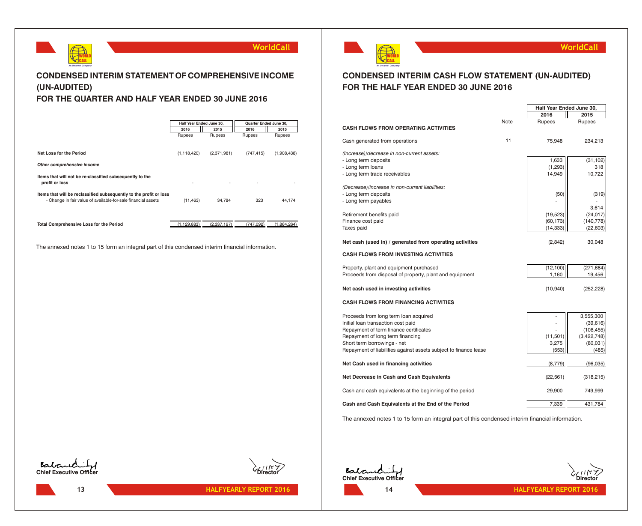

### **CONDENSED INTERIM STATEMENT OF COMPREHENSIVE INCOME (UN-AUDITED) FOR THE QUARTER AND HALF YEAR ENDED 30 JUNE 2016**

### **2016 2015 2016 2015** Rupees Rupees Rupees Rupees **Net Loss for the Period** (1,118,420) (2,371,981) (747,415) (1,908,438) *Other comprehensive income* **Items that will not be re-classified subsequently to the profit or loss** - - - - **Items that will be reclassified subsequently to the profit or loss** - Change in fair value of available-for-sale financial assets (11,463) 34,784 323 44,174 **Total Comprehensive Loss for the Period** (1,129,883) (2,337,197) (747,092) (1,864,264) **Half Year Ended June 30, Quarter Ended June 30,**

The annexed notes 1 to 15 form an integral part of this condensed interim financial information.



### **WorldCall**

**Half Year Ended June 30,**

### **CONDENSED INTERIM CASH FLOW STATEMENT (UN-AUDITED) FOR THE HALF YEAR ENDED 30 JUNE 2016**

|                                                                  |      | 2016                   | 2015          |
|------------------------------------------------------------------|------|------------------------|---------------|
|                                                                  | Note | Rupees                 | <b>Rupees</b> |
| <b>CASH FLOWS FROM OPERATING ACTIVITIES</b>                      |      |                        |               |
| Cash generated from operations                                   | 11   | 75,948                 | 234,213       |
| (Increase)/decrease in non-current assets:                       |      |                        |               |
| - Long term deposits                                             |      | 1,633                  | (31, 102)     |
| - Long term loans                                                |      | (1, 293)               | 318           |
| - Long term trade receivables                                    |      | 14,949                 | 10,722        |
| (Decrease)/increase in non-current liabilities:                  |      |                        |               |
| - Long term deposits                                             |      | (50)                   | (319)         |
| - Long term payables                                             |      |                        |               |
|                                                                  |      |                        | 3,614         |
| Retirement benefits paid                                         |      | (19, 523)              | (24, 017)     |
| Finance cost paid<br>Taxes paid                                  |      | (60, 173)<br>(14, 333) | (140, 778)    |
|                                                                  |      |                        | (22, 603)     |
| Net cash (used in) / generated from operating activities         |      | (2,842)                | 30,048        |
| <b>CASH FLOWS FROM INVESTING ACTIVITIES</b>                      |      |                        |               |
| Property, plant and equipment purchased                          |      | (12, 100)              | (271, 684)    |
| Proceeds from disposal of property, plant and equipment          |      | 1,160                  | 19,456        |
| Net cash used in investing activities                            |      | (10, 940)              | (252, 228)    |
|                                                                  |      |                        |               |
| <b>CASH FLOWS FROM FINANCING ACTIVITIES</b>                      |      |                        |               |
| Proceeds from long term loan acquired                            |      |                        | 3,555,300     |
| Initial loan transaction cost paid                               |      |                        | (39, 616)     |
| Repayment of term finance certificates                           |      |                        | (108, 455)    |
| Repayment of long term financing                                 |      | (11,501)               | (3,422,748)   |
| Short term borrowings - net                                      |      | 3,275                  | (80,031)      |
| Repayment of liabilities against assets subject to finance lease |      | (553)                  | (485)         |
| Net Cash used in financing activities                            |      | (8,779)                | (96,035)      |
| Net Decrease in Cash and Cash Equivalents                        |      | (22, 561)              | (318, 215)    |
| Cash and cash equivalents at the beginning of the period         |      | 29,900                 | 749,999       |
| Cash and Cash Equivalents at the End of the Period               |      | 7,339                  | 431,784       |

The annexed notes 1 to 15 form an integral part of this condensed interim financial information.





**13 13 144LFYEARLY REPORT 2016** 





**HALFYEARLY REPORT 2016 HALFYEARLY REPORT 2016**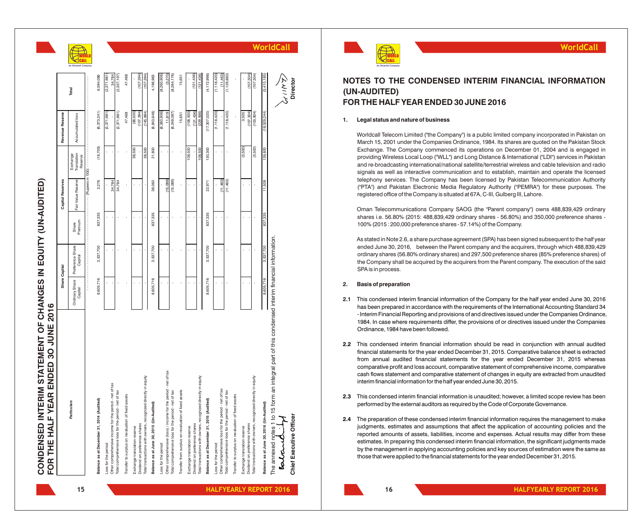CONDENSED INTERIM STATEMENT OF CHANGES IN EQUITY (UN-AUDITED) **CONDENSED INTERIM STATEMENT OF CHANGES IN EQUITY (UN-AUDITED)**

| Other comprehensive income for the period - net of tax<br>Total comprehensive loss for the period - net of tax<br>assets<br>Balance as at December 31, 2014 (Audited)<br>6<br>Particula<br>Transfer to surplus on revaluation of fixed<br>Loss for the period |                           |                             |                  |                            |                                    |                         |                          |                       |
|---------------------------------------------------------------------------------------------------------------------------------------------------------------------------------------------------------------------------------------------------------------|---------------------------|-----------------------------|------------------|----------------------------|------------------------------------|-------------------------|--------------------------|-----------------------|
|                                                                                                                                                                                                                                                               | Ordinary Share<br>Capital | Preference Share<br>Capital | Premium<br>Share | Fair Value Reserve         | Translation<br>Exchange<br>Reserve | Accumulated loss        | Total                    | An On<br>ntel Company |
|                                                                                                                                                                                                                                                               |                           |                             |                  | ---- (Rupees in '000' ---- |                                    |                         |                          |                       |
|                                                                                                                                                                                                                                                               | 8,605,716                 | 3,537,700                   | 837,335          | 3,276                      | (16,700)                           | (6,373,241)             | 6,594,086                |                       |
|                                                                                                                                                                                                                                                               |                           |                             |                  |                            |                                    | (2, 371, 981)           | (2,371,981)              |                       |
|                                                                                                                                                                                                                                                               |                           |                             |                  | 34,784<br>34,784           |                                    | (2,371,981)             | 34,784<br>(2,337,197)    |                       |
|                                                                                                                                                                                                                                                               |                           |                             |                  |                            |                                    | 47,468                  | 47,468                   |                       |
| Exchange translation reserve                                                                                                                                                                                                                                  |                           |                             |                  |                            | 38,500                             | (38,500)                |                          |                       |
| Dividend on preference shares                                                                                                                                                                                                                                 |                           |                             |                  |                            | 38,500                             | (107, 394)              | (107, 394)               |                       |
| Total transactions with owners, recognized directly in equity                                                                                                                                                                                                 |                           |                             |                  |                            |                                    | (145, 894)              | (107, 394)               |                       |
| Balance as at June 30, 2015 (Un-Audited)                                                                                                                                                                                                                      | 8,605,716                 | 3,537,700                   | 837,335          | 38,060                     | 21,800                             | (8, 843, 648)           | 4,196,963                |                       |
| Loss for the period                                                                                                                                                                                                                                           |                           |                             |                  |                            |                                    | (8,260,906)             | (8,260,906)              |                       |
| Other comprehensive (loss) / income for the period - net of tax                                                                                                                                                                                               |                           |                             |                  | (15,089)                   |                                    | 11,819                  | (3, 270)                 |                       |
| Total comprehensive loss for the period - net of tax                                                                                                                                                                                                          |                           |                             |                  | (15,089)                   |                                    | (8, 249, 087)           | (8,264,176)              |                       |
| Transfer from surplus on revaluation of fixed assets                                                                                                                                                                                                          |                           |                             |                  |                            |                                    | 15,651                  | 15,651                   |                       |
| Exchange translation reserve                                                                                                                                                                                                                                  |                           |                             |                  |                            | 108,500                            | (108,500)               |                          |                       |
| Dividend on preference shares                                                                                                                                                                                                                                 |                           |                             |                  |                            |                                    | (121, 436)              | (121, 436)               |                       |
| Total transactions with owners, recognized directly in equity                                                                                                                                                                                                 |                           |                             |                  |                            | 108,500                            | (229, 936)              | (121, 436)               |                       |
| Balance as at December 31, 2015 (Audited)                                                                                                                                                                                                                     | 8,605,716                 | 3,537,700                   | 837,335          | 22,971                     | 130,300                            | (17, 307, 020)          | (4, 172, 998)            |                       |
| Loss for the period                                                                                                                                                                                                                                           |                           |                             |                  |                            |                                    | (1, 118, 420)           | (1, 118, 420)            |                       |
| Other comprehensive loss for the period - net of tax                                                                                                                                                                                                          |                           |                             |                  | (11,463)                   |                                    |                         | (11,463)                 |                       |
| Total comprehensive loss for the period - net of tax                                                                                                                                                                                                          | ï                         |                             | ï                | (11,463)                   |                                    | (1, 118, 420)           | (1, 129, 883)            |                       |
| assets<br>Transfer to surplus on revaluation of fixed                                                                                                                                                                                                         |                           |                             |                  |                            |                                    |                         |                          |                       |
| Exchange translation reserve                                                                                                                                                                                                                                  |                           |                             |                  |                            | (3,500)                            | 3,500                   |                          |                       |
| Total transactions with owners, recognized directly in equity<br>Dividend on preference shares                                                                                                                                                                |                           |                             |                  |                            | (3,500)                            | (103, 804)<br>(107.304) | (107, 304)<br>(107, 304) |                       |
|                                                                                                                                                                                                                                                               |                           |                             |                  |                            |                                    |                         |                          |                       |
| Balance as at June 30, 2016 (Un-Audited)                                                                                                                                                                                                                      | 8,605,716                 | 3,537,700                   | 837,335          | 11,508                     | 126,800                            | (18,529,244)            | (5,410,185)              |                       |
| form an integral part of this condensed interim financial information.<br>The annexed notes 1 to 15<br>alane                                                                                                                                                  |                           |                             |                  |                            |                                    |                         | ダミック                     | WorldCall             |
| Chief Executive Officer                                                                                                                                                                                                                                       |                           |                             |                  |                            |                                    |                         | <b>Director</b>          |                       |



### **NOTES TO THE CONDENSED INTERIM FINANCIAL INFORMATION (UN-AUDITED) FOR THE HALF YEAR ENDED 30 JUNE 2016**

#### **1. Legal status and nature of business**

Worldcall Telecom Limited ("the Company") is a public limited company incorporated in Pakistan on March 15, 2001 under the Companies Ordinance, 1984. Its shares are quoted on the Pakistan Stock Exchange. The Company commenced its operations on December 01, 2004 and is engaged in providing Wireless Local Loop ("WLL") and Long Distance & International ("LDI") services in Pakistan and re-broadcasting international/national satellite/terrestrial wireless and cable television and radio signals as well as interactive communication and to establish, maintain and operate the licensed telephony services. The Company has been licensed by Pakistan Telecommunication Authority ("PTA") and Pakistan Electronic Media Regulatory Authority ("PEMRA") for these purposes. The registered office of the Company is situated at 67A, C-III, Gulberg III, Lahore. **EXERCT THE CONDENSED INTERIM FINANCIAL INFORMATIC<br>
<b>TEST TO THE CONDENSED INTERIM FINANCIAL INFORMATIC<br>
ADDITED,<br>
ADDITED,<br>
ADDITED,<br>
ADDITED,<br>
ADDITED,<br>
ADDITED,<br>
ADDITED,<br>
ADDITED,<br>
ADDITED,<br>
ADDITED,<br>
ADDITED,<br>
ADDITED** 

Oman Telecommunications Company SAOG (the "Parent company") owns 488,839,429 ordinary shares i.e. 56.80% (2015: 488,839,429 ordinary shares - 56.80%) and 350,000 preference shares - 100% (2015 : 200,000 preference shares - 57.14%) of the Company .

As stated in Note 2.6, a share purchase agreement (SPA) has been signed subsequent to the half year ended June 30, 2016, between the Parent company and the acquirers, through which 488,839,429 ordinary shares (56.80% ordinary shares) and 297,500 preference shares (85% preference shares) of the Company shall be acquired by the acquirers from the Parent company. The execution of the said SPA is in process.

#### **2. Basis of preparation**

- **2.1** This condensed interim financial information of the Company for the half year ended June 30, 2016 has been prepared in accordance with the requirements of the International Accounting Standard 34 - Interim Financial Reporting and provisions of and directives issued under the Companies Ordinance, 1984. In case where requirements differ, the provisions of or directives issued under the Companies Ordinance, 1984 have been followed.
- **2.2** This condensed interim financial information should be read in conjunction with annual audited financial statements for the year ended December 31, 2015. Comparative balance sheet is extracted from annual audited financial statements for the year ended December 31, 2015 whereas comparative profit and loss account, comparative statement of comprehensive income, comparative cash flows statement and comparative statement of changes in equity are extracted from unaudited interim financial information for the half year ended June 30, 2015.
- **2.3** This condensed interim financial information is unaudited; however, a limited scope review has been performed by the external auditors as required by the Code of Corporate Governance.
- **2.4** The preparation of these condensed interim financial information requires the management to make judgments, estimates and assumptions that affect the application of accounting policies and the reported amounts of assets, liabilities, income and expenses. Actual results may differ from these estimates. In preparing this condensed interim financial information, the significant judgments made by the management in applying accounting policies and key sources of estimation were the same as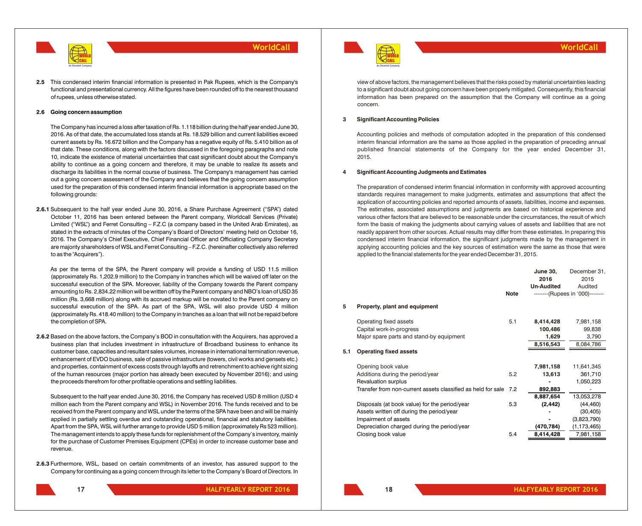

**2.5** This condensed interim financial information is presented in Pak Rupees, which is the Company's functional and presentational currency. All the figures have been rounded off to the nearest thousand of rupees, unless otherwise stated.

#### **2.6 Going concern assumption**

The Company has incurred a loss after taxation of Rs. 1.118 billion during the half year ended June 30, 2016. As of that date, the accumulated loss stands at Rs. 18.529 billion and current liabilities exceed current assets by Rs. 16.672 billion and the Company has a negative equity of Rs. 5.410 billion as of that date. These conditions, along with the factors discussed in the foregoing paragraphs and note 10, indicate the existence of material uncertainties that cast significant doubt about the Company's ability to continue as a going concern and therefore, it may be unable to realize its assets and discharge its liabilities in the normal course of business. The Company's management has carried out a going concern assessment of the Company and believes that the going concern assumption used for the preparation of this condensed interim financial information is appropriate based on the following grounds:

**2.6.1** Subsequent to the half year ended June 30, 2016, a Share Purchase Agreement ("SPA") dated October 11, 2016 has been entered between the Parent company, Worldcall Services (Private) Limited ("WSL") and Ferret Consulting – F.Z.C (a company based in the United Arab Emirates), as stated in the extracts of minutes of the Company's Board of Directors' meeting held on October 16, 2016. The Company's Chief Executive, Chief Financial Officer and Officiating Company Secretary are majority shareholders of WSL and Ferret Consulting – F.Z.C. (hereinafter collectively also referred to as the "Acquirers").

As per the terms of the SPA, the Parent company will provide a funding of USD 11.5 million (approximately Rs. 1,202.9 million) to the Company in tranches which will be waived off later on the successful execution of the SPA. Moreover, liability of the Company towards the Parent company amounting to Rs. 2,834.22 million will be written off by the Parent company and NBO's loan of USD 35 million (Rs. 3,668 million) along with its accrued markup will be novated to the Parent company on successful execution of the SPA. As part of the SPA, WSL will also provide USD 4 million (approximately Rs. 418.40 million) to the Company in tranches as a loan that will not be repaid before the completion of SPA.

**2.6.2** Based on the above factors, the Company's BOD in consultation with the Acquirers, has approved a business plan that includes investment in infrastructure of Broadband business to enhance its customer base, capacities and resultant sales volumes, increase in international termination revenue, enhancement of EVDO business, sale of passive infrastructure (towers, civil works and gensets etc.) and properties, containment of excess costs through layoffs and retrenchment to achieve right sizing of the human resources (major portion has already been executed by November 2016); and using the proceeds therefrom for other profitable operations and settling liabilities.

Subsequent to the half year ended June 30, 2016, the Company has received USD 8 million (USD 4 million each from the Parent company and WSL) in November 2016. The funds received and to be received from the Parent company and WSL under the terms of the SPA have been and will be mainly applied in partially settling overdue and outstanding operational, financial and statutory liabilities. Apart from the SPA, WSL will further arrange to provide USD 5 million (approximately Rs 523 million). The management intends to apply these funds for replenishment of the Company's inventory, mainly for the purchase of Customer Premises Equipment (CPEs) in order to increase customer base and revenue.

**2.6.3** Furthermore, WSL, based on certain commitments of an investor, has assured support to the Company for continuing as a going concern through its letter to the Company's Board of Directors. In



view of above factors, the management believes that the risks posed by material uncertainties leading to a significant doubt about going concern have been properly mitigated. Consequently, this financial information has been prepared on the assumption that the Company will continue as a going concern.

#### **3 Significant Accounting Policies**

Accounting policies and methods of computation adopted in the preparation of this condensed interim financial information are the same as those applied in the preparation of preceding annual published financial statements of the Company for the year ended December 31, 2015.

#### **4 Significant Accounting Judgments and Estimates**

The preparation of condensed interim financial information in conformity with approved accounting standards requires management to make judgments, estimates and assumptions that affect the application of accounting policies and reported amounts of assets, liabilities, income and expenses. The estimates, associated assumptions and judgments are based on historical experience and various other factors that are believed to be reasonable under the circumstances, the result of which form the basis of making the judgments about carrying values of assets and liabilities that are not readily apparent from other sources. Actual results may differ from these estimates. In preparing this condensed interim financial information, the significant judgments made by the management in applying accounting policies and the key sources of estimation were the same as those that were applied to the financial statements for the year ended December 31, 2015.

|     |                                                              |             | <b>June 30,</b><br>2016<br><b>Un-Audited</b> | December 31,<br>2015<br>Audited  |
|-----|--------------------------------------------------------------|-------------|----------------------------------------------|----------------------------------|
|     |                                                              | <b>Note</b> |                                              | --------(Rupees in '000)-------- |
| 5   | Property, plant and equipment                                |             |                                              |                                  |
|     | Operating fixed assets                                       | 5.1         | 8,414,428                                    | 7,981,158                        |
|     | Capital work-in-progress                                     |             | 100,486                                      | 99,838                           |
|     | Major spare parts and stand-by equipment                     |             | 1,629                                        | 3,790                            |
|     |                                                              |             | 8,516,543                                    | 8,084,786                        |
| 5.1 | <b>Operating fixed assets</b>                                |             |                                              |                                  |
|     | Opening book value                                           |             | 7,981,158                                    | 11,641,345                       |
|     | Additions during the period/year                             | 5.2         | 13,613                                       | 361,710                          |
|     | Revaluation surplus                                          |             |                                              | 1,050,223                        |
|     | Transfer from non-current assets classified as held for sale | 7.2         | 892,883                                      |                                  |
|     |                                                              |             | 8,887,654                                    | 13,053,278                       |
|     | Disposals (at book value) for the period/year                | 5.3         | (2, 442)                                     | (44, 460)                        |
|     | Assets written off during the period/year                    |             |                                              | (30, 405)                        |
|     | Impairment of assets                                         |             |                                              | (3,823,790)                      |
|     | Depreciation charged during the period/year                  |             | (470,784)                                    | (1, 173, 465)                    |
|     | Closing book value                                           | 5.4         | 8,414,428                                    | 7,981,158                        |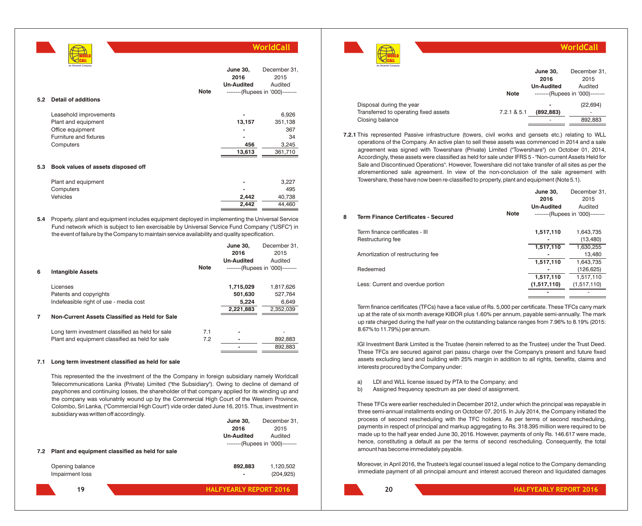**5.2 Detail of additions** Leasehold improvements **-** 6,926 Plant and equipment **13,157** 351,138 Office equipment **367** Furniture and fixtures **-** 34 Computers **456** 3,245 **13,613** 361,710 **5.3 Book values of assets disposed off** Plant and equipment **and a** 3,227 Computers **-** 495 **WorldCall** WORLD CALL **An Omantel Company June 30, 2016 Un-Audited** December 31, 2015 Audited

**5.4** Property, plant and equipment includes equipment deployed in implementing the Universal Service Fund network which is subject to lien exercisable by Universal Service Fund Company ("USFC") in the event of failure by the Company to maintain service availability and quality specification.

Vehicles **2,442** 40,738

**2.442 44.460** 

|   |                                                  |             | <b>June 30.</b>   | December 31.                     |
|---|--------------------------------------------------|-------------|-------------------|----------------------------------|
|   |                                                  |             | 2016              | 2015                             |
|   |                                                  |             | <b>Un-Audited</b> | Audited                          |
| 6 | <b>Intangible Assets</b>                         | <b>Note</b> |                   | --------(Rupees in '000)-------- |
|   | Licenses                                         |             | 1,715,029         | 1,817,626                        |
|   | Patents and copyrights                           |             | 501.630           | 527.764                          |
|   | Indefeasible right of use - media cost           |             | 5,224             | 6,649                            |
|   |                                                  |             | 2,221,883         | 2,352,039                        |
|   | Non-Current Assets Classified as Held for Sale   |             |                   |                                  |
|   | Long term investment classified as held for sale | 7.1         |                   |                                  |
|   | Plant and equipment classified as held for sale  | 7.2         |                   | 892,883                          |
|   |                                                  |             |                   | 892.883                          |

#### **7.1 Long term investment classified as held for sale**

This represented the the investment of the the Company in foreign subsidiary namely Worldcall Telecommunications Lanka (Private) Limited ("the Subsidiary"). Owing to decline of demand of payphones and continuing losses, the shareholder of that company applied for its winding up and the company was volunatrily wound up by the Commercial High Court of the Western Province, Colombo, Sri Lanka, ("Commercial High Court") vide order dated June 16, 2015. Thus, investment in subsidiary was written off accordingly.

| 7.2 Plant and equipment classified as held for sale | <b>June 30,</b><br>2016<br><b>Un-Audited</b> | December 31,<br>2015<br>Audited<br>--------(Rupees in '000)-------- | process of se<br>payments in re<br>made up to th<br>hence, consti<br>amount has be |
|-----------------------------------------------------|----------------------------------------------|---------------------------------------------------------------------|------------------------------------------------------------------------------------|
| Opening balance<br>Impairment loss                  | 892.883<br>$\blacksquare$                    | 1,120,502<br>(204, 925)                                             | Moreover, in A<br>immediate pa                                                     |
| 19                                                  | <b>HALFYEARLY REPORT 2016</b>                |                                                                     | 20                                                                                 |



|             |                          |                                  | <b>NO USAL</b><br>An Omantel Company  |             |                   |                                  |
|-------------|--------------------------|----------------------------------|---------------------------------------|-------------|-------------------|----------------------------------|
|             | <b>June 30,</b>          | December 31,                     |                                       |             | <b>June 30.</b>   | December 31,                     |
|             | 2016                     | 2015                             |                                       |             | 2016              | 2015                             |
|             | <b>Un-Audited</b>        | Audited                          |                                       |             | <b>Un-Audited</b> | Audited                          |
| <b>Note</b> |                          | --------(Rupees in '000)-------- |                                       | <b>Note</b> |                   | --------(Rupees in '000)-------- |
|             |                          |                                  | Disposal during the year              |             |                   | (22, 694)                        |
|             | $\overline{\phantom{a}}$ | 6.926                            | Transferred to operating fixed assets | 7.2.1 & 5.1 | (892, 883)        | $\overline{\phantom{a}}$         |
|             | 13.157                   | 351,138                          | Closing balance                       |             |                   | 892,883                          |
|             |                          | 007                              |                                       |             |                   |                                  |

**WorldCall**

December 31,

**June 30,**

**7.2.1** This represented Passive infrastructure (towers, civil works and gensets etc.) relating to WLL operations of the Company. An active plan to sell these assets was commenced in 2014 and a sale agreement was signed with Towershare (Private) Limited ("Towershare") on October 01, 2014, Accordingly, these assets were classified as held for sale under IFRS 5 - "Non-current Assets Held for Sale and Discontinued Operations". However, Towershare did not take transfer of all sites as per the aforementioned sale agreement. In view of the non-conclusion of the sale agreement with Towershare, these have now been re-classified to property, plant and equipment (Note 5.1).

|                                                                | 2016<br><b>Un-Audited</b> | 2015<br>Audited                  |
|----------------------------------------------------------------|---------------------------|----------------------------------|
| <b>Note</b><br>8<br><b>Term Finance Certificates - Secured</b> |                           | --------(Rupees in '000)-------- |
| Term finance certificates - III                                | 1,517,110                 | 1,643,735                        |
| Restructuring fee                                              |                           | (13, 480)                        |
|                                                                | 1,517,110                 | 1,630,255                        |
| Amortization of restructuring fee                              |                           | 13,480                           |
|                                                                | 1,517,110                 | 1,643,735                        |
| Redeemed                                                       |                           | (126,625)                        |
|                                                                | 1,517,110                 | 1.517.110                        |
| Less: Current and overdue portion                              | (1,517,110)               | (1,517,110)                      |
|                                                                |                           |                                  |

Term finance certificates (TFCs) have a face value of Rs. 5,000 per certificate. These TFCs carry mark up at the rate of six month average KIBOR plus 1.60% per annum, payable semi-annually. The mark up rate charged during the half year on the outstanding balance ranges from 7.96% to 8.19% (2015: 8.67% to 11.79%) per annum.

IGI Investment Bank Limited is the Trustee (herein referred to as the Trustee) under the Trust Deed. These TFCs are secured against pari passu charge over the Company's present and future fixed assets excluding land and building with 25% margin in addition to all rights, benefits, claims and interests procured by the Company under:

- a) LDI and WLL license issued by PTA to the Company; and
- b) Assigned frequency spectrum as per deed of assignment.

These TFCs were earlier rescheduled in December 2012, under which the principal was repayable in three semi-annual installments ending on October 07, 2015. In July 2014, the Company initiated the process of second rescheduling with the TFC holders. As per terms of second rescheduling, payments in respect of principal and markup aggregating to Rs. 318.395 million were required to be made up to the half year ended June 30, 2016. However, payments of only Rs. 146.617 were made, hence, constituting a default as per the terms of second rescheduling. Consequently, the total amount has become immediately payable.

Moreover, in April 2016, the Trustee's legal counsel issued a legal notice to the Company demanding immediate payment of all principal amount and interest accrued thereon and liquidated damages

**HALFYEARLY REPORT 2016 HALFYEARLY REPORT 2016**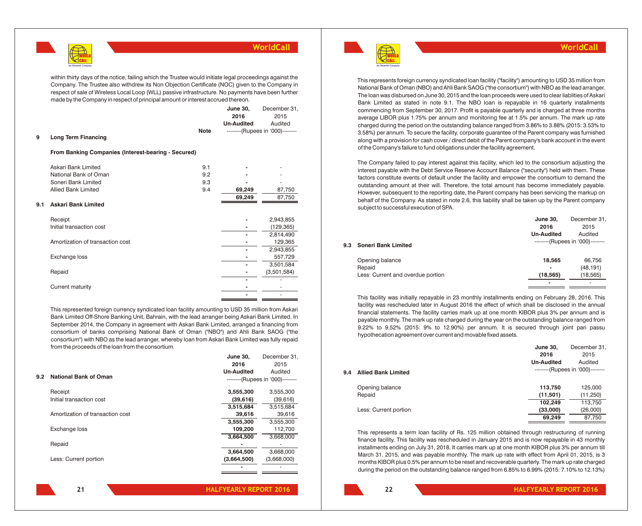

within thirty days of the notice, failing which the Trustee would initiate legal proceedings against the Company. The Trustee also withdrew its Non Objection Certificate (NOC) given to the Company in respect of sale of Wireless Local Loop (WLL) passive infrastructure. No payments have been further made by the Company in respect of principal amount or interest accrued thereon.

|     |                                                     |             | <b>June 30,</b>   | December 31,                     |
|-----|-----------------------------------------------------|-------------|-------------------|----------------------------------|
|     |                                                     |             | 2016              | 2015                             |
|     |                                                     |             | <b>Un-Audited</b> | Audited                          |
|     |                                                     | <b>Note</b> |                   | --------(Rupees in '000)-------- |
| 9   | <b>Long Term Financing</b>                          |             |                   |                                  |
|     | From Banking Companies (Interest-bearing - Secured) |             |                   |                                  |
|     | Askari Bank Limited                                 | 9.1         |                   |                                  |
|     | National Bank of Oman                               | 9.2         |                   |                                  |
|     | Soneri Bank Limited                                 | 9.3         |                   |                                  |
|     | <b>Allied Bank Limited</b>                          | 9.4         | 69,249            | 87,750                           |
|     |                                                     |             | 69,249            | 87,750                           |
| 9.1 | <b>Askari Bank Limited</b>                          |             |                   |                                  |
|     | Receipt                                             |             |                   | 2,943,855                        |
|     | Initial transaction cost                            |             |                   | (129, 365)                       |
|     |                                                     |             |                   | 2,814,490                        |
|     | Amortization of transaction cost                    |             |                   | 129,365                          |
|     |                                                     |             |                   | 2,943,855                        |
|     | Exchange loss                                       |             |                   | 557,729                          |
|     |                                                     |             |                   | 3,501,584                        |
|     | Repaid                                              |             |                   | (3,501,584)                      |
|     |                                                     |             |                   |                                  |
|     | Current maturity                                    |             |                   |                                  |
|     |                                                     |             |                   | ۰                                |

This represented foreign currency syndicated loan facility amounting to USD 35 million from Askari Bank Limited Off-Shore Banking Unit, Bahrain, with the lead arranger being Askari Bank Limited. In September 2014, the Company in agreement with Askari Bank Limited, arranged a financing from consortium of banks comprising National Bank of Oman ("NBO") and Ahli Bank SAOG ("the consortium") with NBO as the lead arranger, whereby loan from Askari Bank Limited was fully repaid from the proceeds of the loan from the consortium.

|     |                                  | Julie Ju,                        | DECEITING 1 9 1 |
|-----|----------------------------------|----------------------------------|-----------------|
|     |                                  | 2016                             | 2015            |
|     |                                  | <b>Un-Audited</b>                | Audited         |
| 9.2 | <b>National Bank of Oman</b>     | --------(Rupees in '000)-------- |                 |
|     | Receipt                          | 3,555,300                        | 3,555,300       |
|     | Initial transaction cost         | (39,616)                         | (39,616)        |
|     |                                  | 3,515,684                        | 3,515,684       |
|     | Amortization of transaction cost | 39,616                           | 39,616          |
|     |                                  | 3,555,300                        | 3,555,300       |
|     | Exchange loss                    | 109,200                          | 112,700         |
|     |                                  | 3,664,500                        | 3,668,000       |
|     | Repaid                           |                                  |                 |
|     |                                  | 3,664,500                        | 3,668,000       |
|     | Less: Current portion            | (3,664,500)                      | (3,668,000)     |
|     |                                  |                                  |                 |
|     |                                  |                                  |                 |

WORLD CALL **An Omantel Company**

#### **WorldCall**

This represents foreign currency syndicated loan facility ("facility") amounting to USD 35 million from National Bank of Oman (NBO) and Ahli Bank SAOG ("the consortium") with NBO as the lead arranger. The loan was disbursed on June 30, 2015 and the loan proceeds were used to clear liablities of Askari Bank Limited as stated in note 9.1. The NBO loan is repayable in 16 quarterly installments commencing from September 30, 2017. Profit is payable quarterly and is charged at three months average LIBOR plus 1.75% per annum and monitoring fee at 1.5% per annum. The mark up rate charged during the period on the outstanding balance ranged from 3.86% to 3.88% (2015: 3.53% to 3.58%) per annum. To secure the facility, corporate guarantee of the Parent company was furnished along with a provision for cash cover / direct debit of the Parent company's bank account in the event of the Company's failure to fund obligations under the facility agreement.

The Company failed to pay interest against this facility, which led to the consortium adjusting the interest payable with the Debt Service Reserve Account Balance ("security") held with them. These factors constitute events of default under the facility and empower the consortium to demand the outstanding amount at their will. Therefore, the total amount has become immediately payable. However, subsequent to the reporting date, the Parent company has been servicing the markup on behalf of the Company. As stated in note 2.6, this liability shall be taken up by the Parent company subject to successful execution of SPA.

|     |                                   | June 30,                         | December 31, |  |
|-----|-----------------------------------|----------------------------------|--------------|--|
|     |                                   | 2016                             | 2015         |  |
|     |                                   | <b>Un-Audited</b>                | Audited      |  |
| 9.3 | <b>Soneri Bank Limited</b>        | --------(Rupees in '000)-------- |              |  |
|     | Opening balance                   | 18,565                           | 66,756       |  |
|     | Repaid                            | -                                | (48, 191)    |  |
|     | Less: Current and overdue portion | (18, 565)                        | (18, 565)    |  |
|     |                                   | $\blacksquare$                   | ۰            |  |

This facility was initially repayable in 23 monthly installments ending on February 28, 2016. This facility was rescheduled later in August 2016 the effect of which shall be disclosed in the annual financial statements. The facility carries mark up at one month KIBOR plus 3% per annum and is payable monthly. The mark up rate charged during the year on the outstanding balance ranged from 9.22% to 9.52% (2015: 9% to 12.90%) per annum. It is secured through joint pari passu hypothecation agreement over current and movable fixed assets.

|                                   | June 30,<br>2016  | December 31,<br>2015             |
|-----------------------------------|-------------------|----------------------------------|
|                                   | <b>Un-Audited</b> | Audited                          |
| <b>Allied Bank Limited</b><br>9.4 |                   | --------(Rupees in '000)-------- |
| Opening balance                   | 113,750           | 125,000                          |
| Repaid                            | (11,501)          | (11,250)                         |
|                                   | 102,249           | 113,750                          |
| Less: Current portion             | (33,000)          | (26,000)                         |
|                                   | 69.249            | 87,750                           |

This represents a term loan facility of Rs. 125 million obtained through restructuring of running finance facility. This facility was rescheduled in January 2015 and is now repayable in 43 monthly installments ending on July 31, 2018. It carries mark up at one month KIBOR plus 3% per annum till March 31, 2015, and was payable monthly. The mark up rate with effect from April 01, 2015, is 3 months KIBOR plus 0.5% per annum to be reset and recoverable quarterly. The mark up rate charged during the period on the outstanding balance ranged from 6.85% to 6.99% (2015: 7.10% to 12.13%)

**HALFYEARLY REPORT 2016 HALFYEARLY REPORT 2016 21 22**

**June 30,**

December 3<sup>1</sup>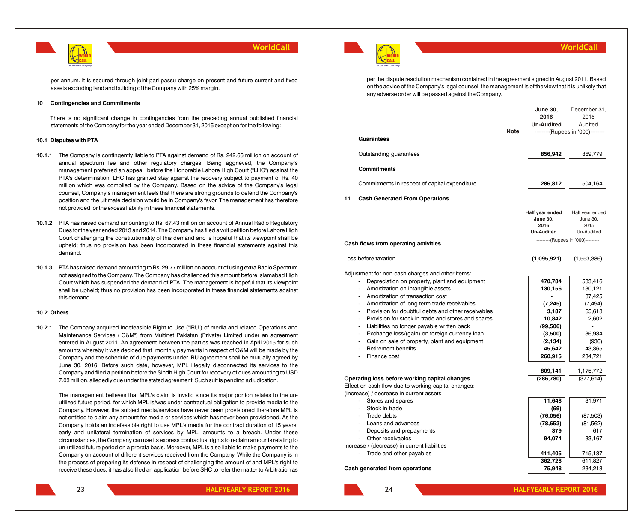

per annum. It is secured through joint pari passu charge on present and future current and fixed assets excluding land and building of the Company with 25% margin.

#### **10 Contingencies and Commitments**

There is no significant change in contingencies from the preceding annual published financial statements of the Company for the year ended December 31, 2015 exception for the following:

#### **10.1 Disputes with PTA**

- **10.1.1** The Company is contingently liable to PTA against demand of Rs. 242.66 million on account of annual spectrum fee and other regulatory charges. Being aggrieved, the Company's management preferred an appeal before the Honorable Lahore High Court ("LHC") against the PTA's determination. LHC has granted stay against the recovery subject to payment of Rs. 40 million which was complied by the Company. Based on the advice of the Company's legal counsel, Company's management feels that there are strong grounds to defend the Company's position and the ultimate decision would be in Company's favor. The management has therefore not provided for the excess liability in these financial statements.
- **10.1.2** PTA has raised demand amounting to Rs. 67.43 million on account of Annual Radio Regulatory Dues for the year ended 2013 and 2014. The Company has filed a writ petition before Lahore High Court challenging the constitutionality of this demand and is hopeful that its viewpoint shall be upheld; thus no provision has been incorporated in these financial statements against this demand.
- **10.1.3** PTA has raised demand amounting to Rs. 29.77 million on account of using extra Radio Spectrum not assigned to the Company. The Company has challenged this amount before Islamabad High Court which has suspended the demand of PTA. The management is hopeful that its viewpoint shall be upheld; thus no provision has been incorporated in these financial statements against this demand.

#### **10.2 Others**

**10.2.1** The Company acquired Indefeasible Right to Use ("IRU") of media and related Operations and Maintenance Services ("O&M") from Multinet Pakistan (Private) Limited under an agreement entered in August 2011. An agreement between the parties was reached in April 2015 for such amounts whereby it was decided that monthly payments in respect of O&M will be made by the Company and the schedule of due payments under IRU agreement shall be mutually agreed by June 30, 2016. Before such date, however, MPL illegally disconnected its services to the Company and filed a petition before the Sindh High Court for recovery of dues amounting to USD 7.03 million, allegedly due under the stated agreement, Such suit is pending adjudication.

The management believes that MPL's claim is invalid since its major portion relates to the unutilized future period, for which MPL is/was under contractual obligation to provide media to the Company. However, the subject media/services have never been provisioned therefore MPL is not entitled to claim any amount for media or services which has never been provisioned. As the Company holds an indefeasible right to use MPL's media for the contract duration of 15 years, early and unilateral termination of services by MPL, amounts to a breach. Under these circumstances, the Company can use its express contractual rights to reclaim amounts relating to un-utilized future period on a prorata basis. Moreover, MPL is also liable to make payments to the Company on account of different services received from the Company. While the Company is in the process of preparing its defense in respect of challenging the amount of and MPL's right to receive these dues, it has also filed an application before SHC to refer the matter to Arbitration as



#### **WorldCall**

per the dispute resolution mechanism contained in the agreement signed in August 2011. Based on the advice of the Company's legal counsel, the management is of the view that it is unlikely that any adverse order will be passed against the Company.

| <b>Guarantees</b><br>Outstanding guarantees<br><b>Commitments</b><br>Commitments in respect of capital expenditure<br>11<br><b>Cash Generated From Operations</b>                                                                                                                                                                                                                                                                                                                                                                               |                                                                                                            | --------(Rupees in '000)--------                                                                    |
|-------------------------------------------------------------------------------------------------------------------------------------------------------------------------------------------------------------------------------------------------------------------------------------------------------------------------------------------------------------------------------------------------------------------------------------------------------------------------------------------------------------------------------------------------|------------------------------------------------------------------------------------------------------------|-----------------------------------------------------------------------------------------------------|
|                                                                                                                                                                                                                                                                                                                                                                                                                                                                                                                                                 |                                                                                                            |                                                                                                     |
|                                                                                                                                                                                                                                                                                                                                                                                                                                                                                                                                                 | 856,942                                                                                                    | 869,779                                                                                             |
|                                                                                                                                                                                                                                                                                                                                                                                                                                                                                                                                                 |                                                                                                            |                                                                                                     |
|                                                                                                                                                                                                                                                                                                                                                                                                                                                                                                                                                 | 286,812                                                                                                    | 504,164                                                                                             |
|                                                                                                                                                                                                                                                                                                                                                                                                                                                                                                                                                 |                                                                                                            |                                                                                                     |
| Cash flows from operating activities                                                                                                                                                                                                                                                                                                                                                                                                                                                                                                            | Half year ended<br><b>June 30,</b><br>2016<br><b>Un-Audited</b><br>---------(Rupees in '000)---------      | Half year ended<br>June 30,<br>2015<br>Un-Audited                                                   |
| Loss before taxation                                                                                                                                                                                                                                                                                                                                                                                                                                                                                                                            | (1,095,921)                                                                                                | (1,553,386)                                                                                         |
| Adjustment for non-cash charges and other items:<br>Depreciation on property, plant and equipment<br>Amortization on intangible assets<br>Amortization of transaction cost<br>Amortization of long term trade receivables<br>Provision for doubtful debts and other receivables<br>Provision for stock-in-trade and stores and spares<br>Liabilities no longer payable written back<br>Exchange loss/(gain) on foreign currency loan<br>ä,<br>Gain on sale of property, plant and equipment<br>÷,<br><b>Retirement benefits</b><br>Finance cost | 470,784<br>130,156<br>(7, 245)<br>3,187<br>10,842<br>(99, 506)<br>(3,500)<br>(2, 134)<br>45,642<br>260,915 | 583,416<br>130,121<br>87,425<br>(7, 494)<br>65,618<br>2,602<br>36,934<br>(936)<br>43,365<br>234,721 |
| Operating loss before working capital changes<br>Effect on cash flow due to working capital changes:<br>(Increase) / decrease in current assets                                                                                                                                                                                                                                                                                                                                                                                                 | 809,141<br>(286,780)                                                                                       | 1,175,772<br>(377, 614)                                                                             |
| Stores and spares<br>÷.<br>Stock-in-trade<br>۰<br>Trade debts<br>Loans and advances<br>a.<br>Deposits and prepayments<br>Other receivables                                                                                                                                                                                                                                                                                                                                                                                                      | 11,648<br>(69)<br>(76,056)<br>(78, 653)<br>379<br>94,074                                                   | 31,971<br>(87, 503)<br>(81, 562)<br>617<br>33,167                                                   |
| Increase / (decrease) in current liabilities<br>Trade and other payables<br><b>Cash generated from operations</b>                                                                                                                                                                                                                                                                                                                                                                                                                               | 411,405<br>362,728<br>75,948                                                                               | 715,137<br>611,827<br>234,213                                                                       |

**HALFYEARLY REPORT 2016 HALFYEARLY REPORT 2016 23 24**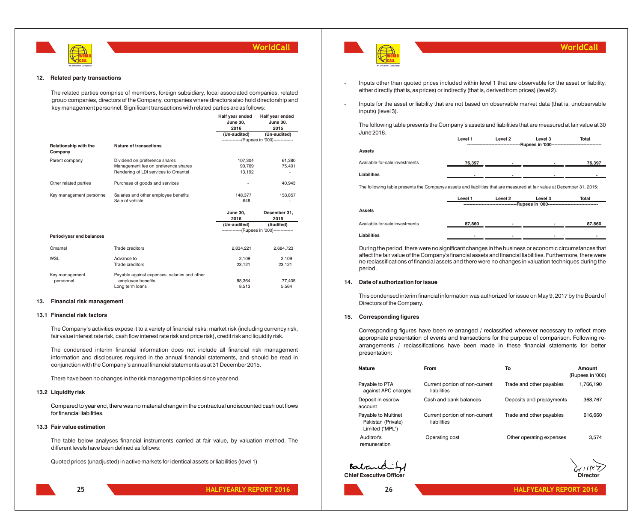

#### **12. Related party transactions**

The related parties comprise of members, foreign subsidiary, local associated companies, related group companies, directors of the Company, companies where directors also hold directorship and key management personnel. Significant transactions with related parties are as follows:

|                                  |                                              | Half year ended<br><b>June 30,</b><br>2016 | Half year ended<br><b>June 30,</b><br>2015    |
|----------------------------------|----------------------------------------------|--------------------------------------------|-----------------------------------------------|
|                                  |                                              | (Un-audited)                               | (Un-audited)                                  |
|                                  |                                              |                                            | ---------------(Rupees in '000)-------------- |
| Relationship with the<br>Company | Nature of transactions                       |                                            |                                               |
| Parent company                   | Dividend on preference shares                | 107.304                                    | 61.380                                        |
|                                  | Management fee on preference shares          | 90.769                                     | 75,401                                        |
|                                  | Rendering of LDI services to Omantel         | 13.192                                     |                                               |
| Other related parties            | Purchase of goods and services               |                                            | 40.943                                        |
| Key management personnel         | Salaries and other employee benefits         | 148,377                                    | 153,857                                       |
|                                  | Sale of vehicle                              | 648                                        |                                               |
|                                  |                                              | <b>June 30,</b><br>2016                    | December 31,<br>2015                          |
|                                  |                                              | (Un-audited)                               | (Audited)                                     |
|                                  |                                              |                                            | ---------------(Rupees in '000)-------------- |
| Period/year end balances         |                                              |                                            |                                               |
| Omantel                          | Trade creditors                              | 2,834,221                                  | 2.684.723                                     |
| WSL                              | Advance to                                   | 2,109                                      | 2,109                                         |
|                                  | Trade creditors                              | 23,121                                     | 23,121                                        |
| Key management                   | Payable against expenses, salaries and other |                                            |                                               |
| personnel                        | employee benefits                            | 88,364                                     | 77,405                                        |
|                                  | Long term loans                              | 8,513                                      | 5,564                                         |
|                                  |                                              |                                            |                                               |

#### **13. Financial risk management**

#### **13.1 Financial risk factors**

The Company's activities expose it to a variety of financial risks: market risk (including currency risk, fair value interest rate risk, cash flow interest rate risk and price risk), credit risk and liquidity risk.

The condensed interim financial information does not include all financial risk management information and disclosures required in the annual financial statements, and should be read in conjunction with the Company's annual financial statements as at 31 December 2015.

There have been no changes in the risk management policies since year end.

#### **13.2 Liquidity risk**

Compared to year end, there was no material change in the contractual undiscounted cash out flows for financial liabilities.

#### **13.3 Fair value estimation**

The table below analyses financial instruments carried at fair value, by valuation method. The different levels have been defined as follows:

- Quoted prices (unadjusted) in active markets for identical assets or liabilities (level 1)



- Inputs other than quoted prices included within level 1 that are observable for the asset or liability, either directly (that is, as prices) or indirectly (that is, derived from prices) (level 2).
- Inputs for the asset or liability that are not based on observable market data (that is, unobservable inputs) (level 3).

The following table presents the Company's assets and liabilities that are measured at fair value at 30 June 2016.

|                                | Level 1 | Level 2 | Level 3           | Total  |
|--------------------------------|---------|---------|-------------------|--------|
|                                |         |         | -Rupees in '000-- |        |
| <b>Assets</b>                  |         |         |                   |        |
| Available-for-sale investments | 76,397  |         |                   | 76,397 |
| Liabilities                    |         |         |                   |        |
|                                |         |         |                   |        |

The following table presents the Companys assets and liabilities that are measured at fair value at December 31, 2015:

|                                | Level 1            | Level 2 | Level 3 | Total  |
|--------------------------------|--------------------|---------|---------|--------|
|                                | --Rupees in '000-- |         |         |        |
| <b>Assets</b>                  |                    |         |         |        |
| Available-for-sale investments | 87,860             |         | ۰       | 87,860 |
| Liabilities                    |                    |         |         |        |

During the period, there were no significant changes in the business or economic circumstances that affect the fair value of the Company's financial assets and financial liabilities. Furthermore, there were no reclassifications of financial assets and there were no changes in valuation techniques during the period.

#### **14. Date of authorization for issue**

This condensed interim financial information was authorized for issue on May 9, 2017 by the Board of Directors of the Company.

#### **15. Corresponding figures**

Corresponding figures have been re-arranged / reclassified wherever necessary to reflect more appropriate presentation of events and transactions for the purpose of comparison. Following rearrangements / reclassifications have been made in these financial statements for better presentation:

| Nature                                                       | <b>From</b>                                   | To                       | Amount<br>(Rupees in '000) |
|--------------------------------------------------------------|-----------------------------------------------|--------------------------|----------------------------|
| Payable to PTA<br>against APC charges                        | Current portion of non-current<br>liabilities | Trade and other payables | 1,766,190                  |
| Deposit in escrow<br>account                                 | Cash and bank balances                        | Deposits and prepayments | 368,767                    |
| Payable to Multinet<br>Pakistan (Private)<br>Limited ("MPL") | Current portion of non-current<br>liabilities | Trade and other payables | 616,660                    |
| Auditror's<br>remuneration                                   | Operating cost                                | Other operating expenses | 3,574                      |

Babaric **Chief Executive Officer**